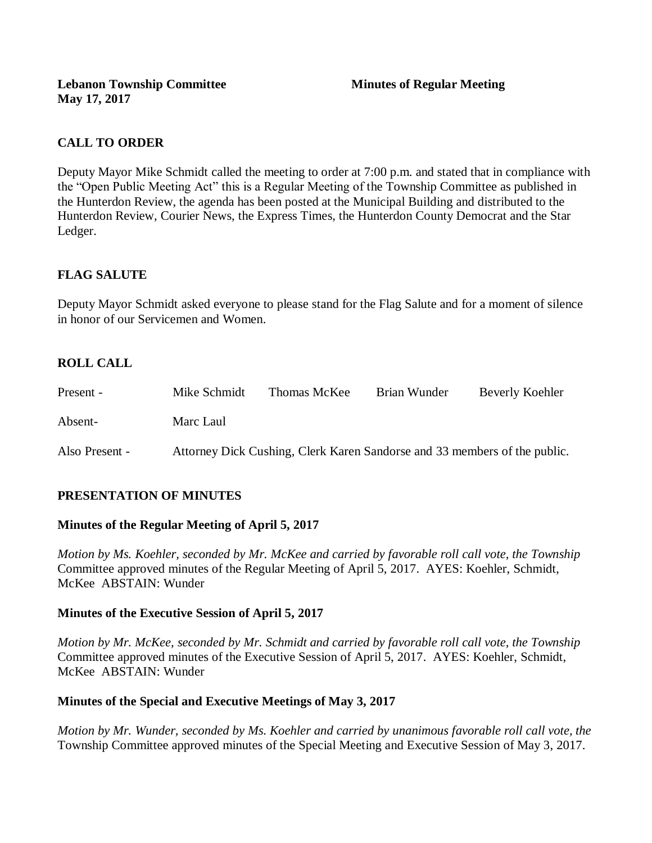## **CALL TO ORDER**

Deputy Mayor Mike Schmidt called the meeting to order at 7:00 p.m. and stated that in compliance with the "Open Public Meeting Act" this is a Regular Meeting of the Township Committee as published in the Hunterdon Review, the agenda has been posted at the Municipal Building and distributed to the Hunterdon Review, Courier News, the Express Times, the Hunterdon County Democrat and the Star Ledger.

## **FLAG SALUTE**

Deputy Mayor Schmidt asked everyone to please stand for the Flag Salute and for a moment of silence in honor of our Servicemen and Women.

## **ROLL CALL**

| Present -      | Mike Schmidt | Thomas McKee                                                              | Brian Wunder | Beverly Koehler |
|----------------|--------------|---------------------------------------------------------------------------|--------------|-----------------|
| Absent-        | Marc Laul    |                                                                           |              |                 |
| Also Present - |              | Attorney Dick Cushing, Clerk Karen Sandorse and 33 members of the public. |              |                 |

### **PRESENTATION OF MINUTES**

#### **Minutes of the Regular Meeting of April 5, 2017**

*Motion by Ms. Koehler, seconded by Mr. McKee and carried by favorable roll call vote, the Township* Committee approved minutes of the Regular Meeting of April 5, 2017. AYES: Koehler, Schmidt, McKee ABSTAIN: Wunder

#### **Minutes of the Executive Session of April 5, 2017**

*Motion by Mr. McKee, seconded by Mr. Schmidt and carried by favorable roll call vote, the Township*  Committee approved minutes of the Executive Session of April 5, 2017. AYES: Koehler, Schmidt, McKee ABSTAIN: Wunder

### **Minutes of the Special and Executive Meetings of May 3, 2017**

*Motion by Mr. Wunder, seconded by Ms. Koehler and carried by unanimous favorable roll call vote, the*  Township Committee approved minutes of the Special Meeting and Executive Session of May 3, 2017.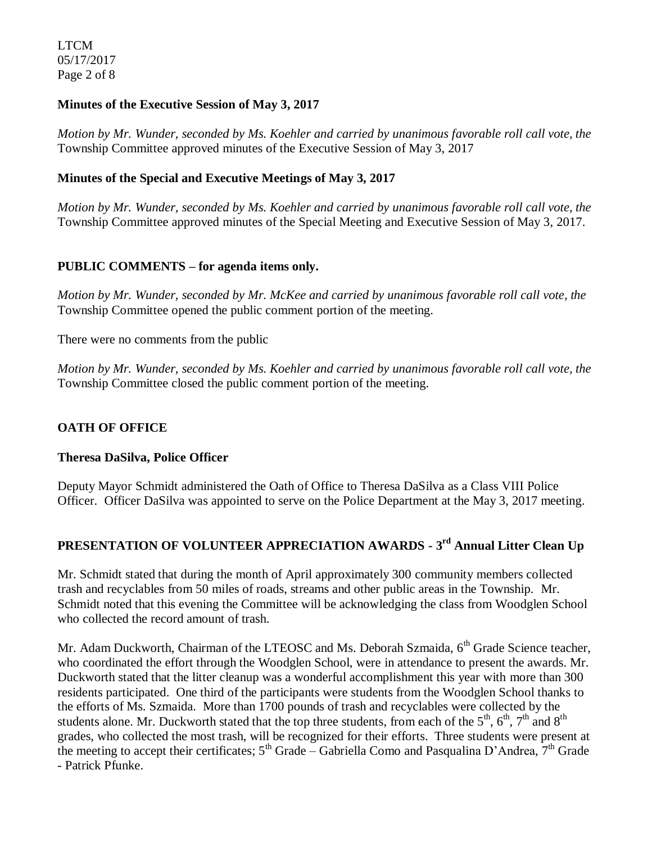LTCM 05/17/2017 Page 2 of 8

#### **Minutes of the Executive Session of May 3, 2017**

*Motion by Mr. Wunder, seconded by Ms. Koehler and carried by unanimous favorable roll call vote, the* Township Committee approved minutes of the Executive Session of May 3, 2017

### **Minutes of the Special and Executive Meetings of May 3, 2017**

*Motion by Mr. Wunder, seconded by Ms. Koehler and carried by unanimous favorable roll call vote, the*  Township Committee approved minutes of the Special Meeting and Executive Session of May 3, 2017.

### **PUBLIC COMMENTS – for agenda items only.**

*Motion by Mr. Wunder, seconded by Mr. McKee and carried by unanimous favorable roll call vote, the* Township Committee opened the public comment portion of the meeting.

There were no comments from the public

*Motion by Mr. Wunder, seconded by Ms. Koehler and carried by unanimous favorable roll call vote, the* Township Committee closed the public comment portion of the meeting.

### **OATH OF OFFICE**

#### **Theresa DaSilva, Police Officer**

Deputy Mayor Schmidt administered the Oath of Office to Theresa DaSilva as a Class VIII Police Officer. Officer DaSilva was appointed to serve on the Police Department at the May 3, 2017 meeting.

# **PRESENTATION OF VOLUNTEER APPRECIATION AWARDS - 3 rd Annual Litter Clean Up**

Mr. Schmidt stated that during the month of April approximately 300 community members collected trash and recyclables from 50 miles of roads, streams and other public areas in the Township. Mr. Schmidt noted that this evening the Committee will be acknowledging the class from Woodglen School who collected the record amount of trash.

Mr. Adam Duckworth, Chairman of the LTEOSC and Ms. Deborah Szmaida, 6<sup>th</sup> Grade Science teacher, who coordinated the effort through the Woodglen School, were in attendance to present the awards. Mr. Duckworth stated that the litter cleanup was a wonderful accomplishment this year with more than 300 residents participated. One third of the participants were students from the Woodglen School thanks to the efforts of Ms. Szmaida. More than 1700 pounds of trash and recyclables were collected by the students alone. Mr. Duckworth stated that the top three students, from each of the  $5<sup>th</sup>$ ,  $6<sup>th</sup>$ ,  $7<sup>th</sup>$  and  $8<sup>th</sup>$ grades, who collected the most trash, will be recognized for their efforts. Three students were present at the meeting to accept their certificates;  $5<sup>th</sup>$  Grade – Gabriella Como and Pasqualina D'Andrea,  $7<sup>th</sup>$  Grade - Patrick Pfunke.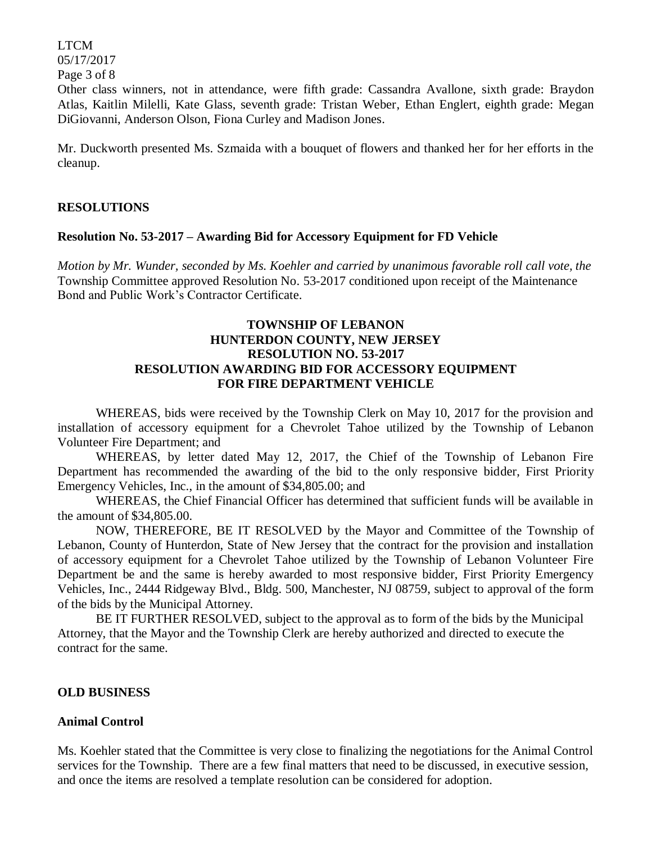LTCM 05/17/2017 Page 3 of 8

Other class winners, not in attendance, were fifth grade: Cassandra Avallone, sixth grade: Braydon Atlas, Kaitlin Milelli, Kate Glass, seventh grade: Tristan Weber, Ethan Englert, eighth grade: Megan DiGiovanni, Anderson Olson, Fiona Curley and Madison Jones.

Mr. Duckworth presented Ms. Szmaida with a bouquet of flowers and thanked her for her efforts in the cleanup.

#### **RESOLUTIONS**

#### **Resolution No. 53-2017 – Awarding Bid for Accessory Equipment for FD Vehicle**

*Motion by Mr. Wunder, seconded by Ms. Koehler and carried by unanimous favorable roll call vote, the* Township Committee approved Resolution No. 53-2017 conditioned upon receipt of the Maintenance Bond and Public Work's Contractor Certificate.

### **TOWNSHIP OF LEBANON HUNTERDON COUNTY, NEW JERSEY RESOLUTION NO. 53-2017 RESOLUTION AWARDING BID FOR ACCESSORY EQUIPMENT FOR FIRE DEPARTMENT VEHICLE**

WHEREAS, bids were received by the Township Clerk on May 10, 2017 for the provision and installation of accessory equipment for a Chevrolet Tahoe utilized by the Township of Lebanon Volunteer Fire Department; and

WHEREAS, by letter dated May 12, 2017, the Chief of the Township of Lebanon Fire Department has recommended the awarding of the bid to the only responsive bidder, First Priority Emergency Vehicles, Inc., in the amount of \$34,805.00; and

WHEREAS, the Chief Financial Officer has determined that sufficient funds will be available in the amount of \$34,805.00.

NOW, THEREFORE, BE IT RESOLVED by the Mayor and Committee of the Township of Lebanon, County of Hunterdon, State of New Jersey that the contract for the provision and installation of accessory equipment for a Chevrolet Tahoe utilized by the Township of Lebanon Volunteer Fire Department be and the same is hereby awarded to most responsive bidder, First Priority Emergency Vehicles, Inc., 2444 Ridgeway Blvd., Bldg. 500, Manchester, NJ 08759, subject to approval of the form of the bids by the Municipal Attorney.

BE IT FURTHER RESOLVED, subject to the approval as to form of the bids by the Municipal Attorney, that the Mayor and the Township Clerk are hereby authorized and directed to execute the contract for the same.

#### **OLD BUSINESS**

#### **Animal Control**

Ms. Koehler stated that the Committee is very close to finalizing the negotiations for the Animal Control services for the Township. There are a few final matters that need to be discussed, in executive session, and once the items are resolved a template resolution can be considered for adoption.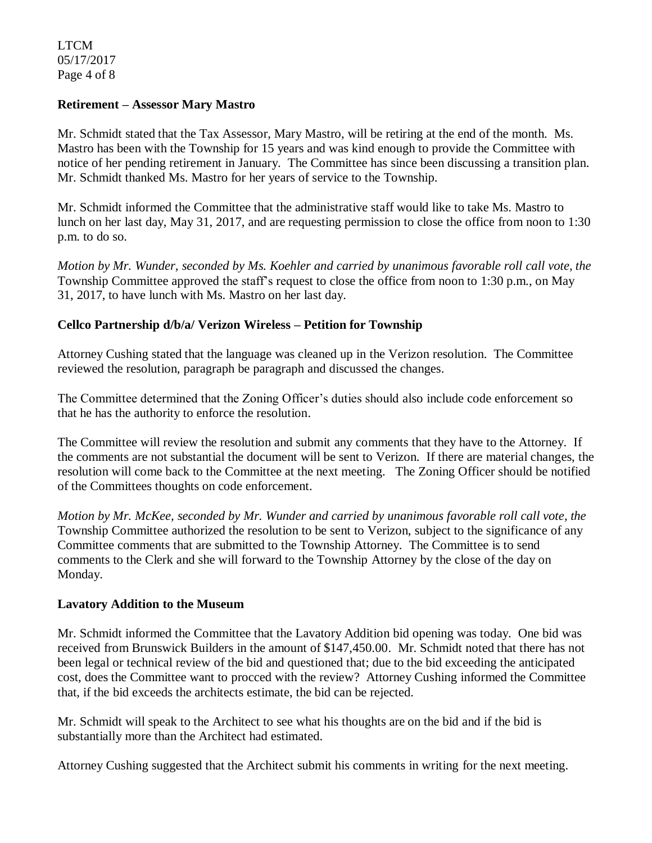LTCM 05/17/2017 Page 4 of 8

#### **Retirement – Assessor Mary Mastro**

Mr. Schmidt stated that the Tax Assessor, Mary Mastro, will be retiring at the end of the month. Ms. Mastro has been with the Township for 15 years and was kind enough to provide the Committee with notice of her pending retirement in January. The Committee has since been discussing a transition plan. Mr. Schmidt thanked Ms. Mastro for her years of service to the Township.

Mr. Schmidt informed the Committee that the administrative staff would like to take Ms. Mastro to lunch on her last day, May 31, 2017, and are requesting permission to close the office from noon to 1:30 p.m. to do so.

*Motion by Mr. Wunder, seconded by Ms. Koehler and carried by unanimous favorable roll call vote, the* Township Committee approved the staff's request to close the office from noon to 1:30 p.m., on May 31, 2017, to have lunch with Ms. Mastro on her last day.

#### **Cellco Partnership d/b/a/ Verizon Wireless – Petition for Township**

Attorney Cushing stated that the language was cleaned up in the Verizon resolution. The Committee reviewed the resolution, paragraph be paragraph and discussed the changes.

The Committee determined that the Zoning Officer's duties should also include code enforcement so that he has the authority to enforce the resolution.

The Committee will review the resolution and submit any comments that they have to the Attorney. If the comments are not substantial the document will be sent to Verizon. If there are material changes, the resolution will come back to the Committee at the next meeting. The Zoning Officer should be notified of the Committees thoughts on code enforcement.

*Motion by Mr. McKee, seconded by Mr. Wunder and carried by unanimous favorable roll call vote, the* Township Committee authorized the resolution to be sent to Verizon, subject to the significance of any Committee comments that are submitted to the Township Attorney. The Committee is to send comments to the Clerk and she will forward to the Township Attorney by the close of the day on Monday.

#### **Lavatory Addition to the Museum**

Mr. Schmidt informed the Committee that the Lavatory Addition bid opening was today. One bid was received from Brunswick Builders in the amount of \$147,450.00. Mr. Schmidt noted that there has not been legal or technical review of the bid and questioned that; due to the bid exceeding the anticipated cost, does the Committee want to procced with the review? Attorney Cushing informed the Committee that, if the bid exceeds the architects estimate, the bid can be rejected.

Mr. Schmidt will speak to the Architect to see what his thoughts are on the bid and if the bid is substantially more than the Architect had estimated.

Attorney Cushing suggested that the Architect submit his comments in writing for the next meeting.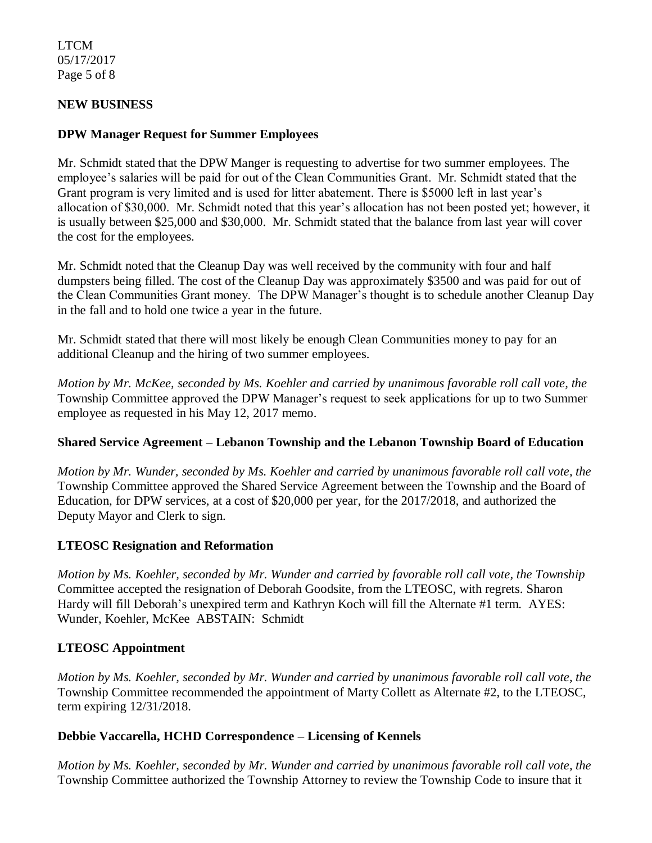#### LTCM 05/17/2017 Page 5 of 8

### **NEW BUSINESS**

#### **DPW Manager Request for Summer Employees**

Mr. Schmidt stated that the DPW Manger is requesting to advertise for two summer employees. The employee's salaries will be paid for out of the Clean Communities Grant. Mr. Schmidt stated that the Grant program is very limited and is used for litter abatement. There is \$5000 left in last year's allocation of \$30,000. Mr. Schmidt noted that this year's allocation has not been posted yet; however, it is usually between \$25,000 and \$30,000. Mr. Schmidt stated that the balance from last year will cover the cost for the employees.

Mr. Schmidt noted that the Cleanup Day was well received by the community with four and half dumpsters being filled. The cost of the Cleanup Day was approximately \$3500 and was paid for out of the Clean Communities Grant money. The DPW Manager's thought is to schedule another Cleanup Day in the fall and to hold one twice a year in the future.

Mr. Schmidt stated that there will most likely be enough Clean Communities money to pay for an additional Cleanup and the hiring of two summer employees.

*Motion by Mr. McKee, seconded by Ms. Koehler and carried by unanimous favorable roll call vote, the* Township Committee approved the DPW Manager's request to seek applications for up to two Summer employee as requested in his May 12, 2017 memo.

#### **Shared Service Agreement – Lebanon Township and the Lebanon Township Board of Education**

*Motion by Mr. Wunder, seconded by Ms. Koehler and carried by unanimous favorable roll call vote, the* Township Committee approved the Shared Service Agreement between the Township and the Board of Education, for DPW services, at a cost of \$20,000 per year, for the 2017/2018, and authorized the Deputy Mayor and Clerk to sign.

#### **LTEOSC Resignation and Reformation**

*Motion by Ms. Koehler, seconded by Mr. Wunder and carried by favorable roll call vote, the Township* Committee accepted the resignation of Deborah Goodsite, from the LTEOSC, with regrets. Sharon Hardy will fill Deborah's unexpired term and Kathryn Koch will fill the Alternate #1 term. AYES: Wunder, Koehler, McKee ABSTAIN: Schmidt

### **LTEOSC Appointment**

*Motion by Ms. Koehler, seconded by Mr. Wunder and carried by unanimous favorable roll call vote, the* Township Committee recommended the appointment of Marty Collett as Alternate #2, to the LTEOSC, term expiring 12/31/2018.

#### **Debbie Vaccarella, HCHD Correspondence – Licensing of Kennels**

*Motion by Ms. Koehler, seconded by Mr. Wunder and carried by unanimous favorable roll call vote, the* Township Committee authorized the Township Attorney to review the Township Code to insure that it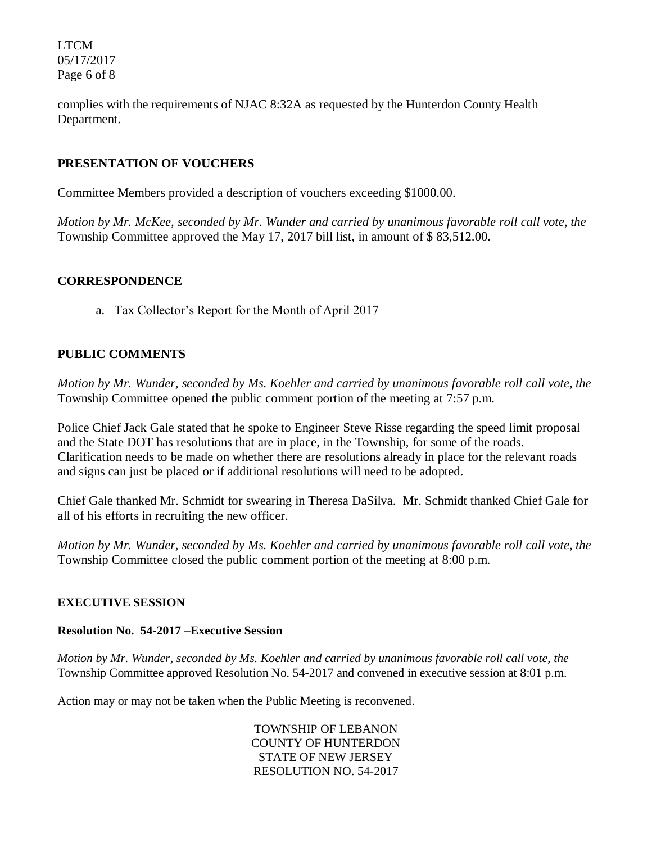LTCM 05/17/2017 Page 6 of 8

complies with the requirements of NJAC 8:32A as requested by the Hunterdon County Health Department.

### **PRESENTATION OF VOUCHERS**

Committee Members provided a description of vouchers exceeding \$1000.00.

*Motion by Mr. McKee, seconded by Mr. Wunder and carried by unanimous favorable roll call vote, the* Township Committee approved the May 17, 2017 bill list, in amount of \$ 83,512.00.

### **CORRESPONDENCE**

a. Tax Collector's Report for the Month of April 2017

## **PUBLIC COMMENTS**

*Motion by Mr. Wunder, seconded by Ms. Koehler and carried by unanimous favorable roll call vote, the* Township Committee opened the public comment portion of the meeting at 7:57 p.m.

Police Chief Jack Gale stated that he spoke to Engineer Steve Risse regarding the speed limit proposal and the State DOT has resolutions that are in place, in the Township, for some of the roads. Clarification needs to be made on whether there are resolutions already in place for the relevant roads and signs can just be placed or if additional resolutions will need to be adopted.

Chief Gale thanked Mr. Schmidt for swearing in Theresa DaSilva. Mr. Schmidt thanked Chief Gale for all of his efforts in recruiting the new officer.

*Motion by Mr. Wunder, seconded by Ms. Koehler and carried by unanimous favorable roll call vote, the* Township Committee closed the public comment portion of the meeting at 8:00 p.m.

#### **EXECUTIVE SESSION**

#### **Resolution No. 54-2017 –Executive Session**

*Motion by Mr. Wunder, seconded by Ms. Koehler and carried by unanimous favorable roll call vote, the* Township Committee approved Resolution No. 54-2017 and convened in executive session at 8:01 p.m.

Action may or may not be taken when the Public Meeting is reconvened.

TOWNSHIP OF LEBANON COUNTY OF HUNTERDON STATE OF NEW JERSEY RESOLUTION NO. 54-2017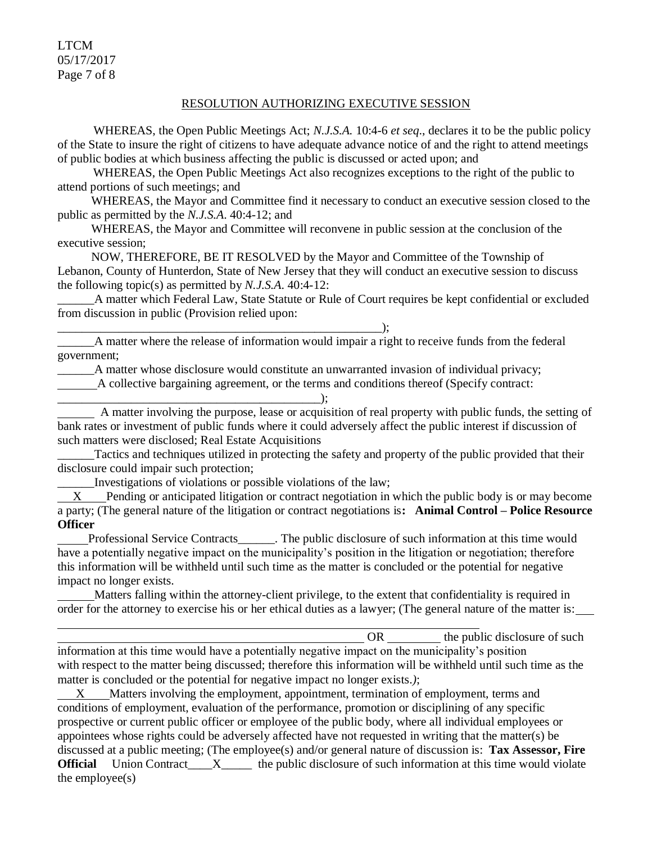LTCM 05/17/2017 Page 7 of 8

#### RESOLUTION AUTHORIZING EXECUTIVE SESSION

WHEREAS, the Open Public Meetings Act; *N.J.S.A.* 10:4-6 *et seq*., declares it to be the public policy of the State to insure the right of citizens to have adequate advance notice of and the right to attend meetings of public bodies at which business affecting the public is discussed or acted upon; and

WHEREAS, the Open Public Meetings Act also recognizes exceptions to the right of the public to attend portions of such meetings; and

 WHEREAS, the Mayor and Committee find it necessary to conduct an executive session closed to the public as permitted by the *N.J.S.A*. 40:4-12; and

 WHEREAS, the Mayor and Committee will reconvene in public session at the conclusion of the executive session;

 NOW, THEREFORE, BE IT RESOLVED by the Mayor and Committee of the Township of Lebanon, County of Hunterdon, State of New Jersey that they will conduct an executive session to discuss the following topic(s) as permitted by *N.J.S.A*. 40:4-12:

\_\_\_\_\_\_A matter which Federal Law, State Statute or Rule of Court requires be kept confidential or excluded from discussion in public (Provision relied upon:

\_\_\_\_\_\_A matter where the release of information would impair a right to receive funds from the federal government;

\_\_\_\_\_\_A matter whose disclosure would constitute an unwarranted invasion of individual privacy;

A collective bargaining agreement, or the terms and conditions thereof (Specify contract:

\_\_\_\_\_\_\_\_\_\_\_\_\_\_\_\_\_\_\_\_\_\_\_\_\_\_\_\_\_\_\_\_\_\_\_\_\_\_\_\_\_\_\_); A matter involving the purpose, lease or acquisition of real property with public funds, the setting of bank rates or investment of public funds where it could adversely affect the public interest if discussion of such matters were disclosed; Real Estate Acquisitions

Tactics and techniques utilized in protecting the safety and property of the public provided that their disclosure could impair such protection;

\_\_\_\_\_\_Investigations of violations or possible violations of the law;

\_\_\_\_\_\_\_\_\_\_\_\_\_\_\_\_\_\_\_\_\_\_\_\_\_\_\_\_\_\_\_\_\_\_\_\_\_\_\_\_\_\_\_\_\_\_\_\_\_\_\_\_\_);

 X Pending or anticipated litigation or contract negotiation in which the public body is or may become a party; (The general nature of the litigation or contract negotiations is**: Animal Control – Police Resource Officer**

 Professional Service Contracts\_\_\_\_\_\_. The public disclosure of such information at this time would have a potentially negative impact on the municipality's position in the litigation or negotiation; therefore this information will be withheld until such time as the matter is concluded or the potential for negative impact no longer exists.

 Matters falling within the attorney-client privilege, to the extent that confidentiality is required in order for the attorney to exercise his or her ethical duties as a lawyer; (The general nature of the matter is:

OR the public disclosure of such  $\theta$ information at this time would have a potentially negative impact on the municipality's position with respect to the matter being discussed; therefore this information will be withheld until such time as the matter is concluded or the potential for negative impact no longer exists.*)*;

 X Matters involving the employment, appointment, termination of employment, terms and conditions of employment, evaluation of the performance, promotion or disciplining of any specific prospective or current public officer or employee of the public body, where all individual employees or appointees whose rights could be adversely affected have not requested in writing that the matter(s) be discussed at a public meeting; (The employee(s) and/or general nature of discussion is: **Tax Assessor, Fire Official** Union Contract\_\_\_\_X\_\_\_\_ the public disclosure of such information at this time would violate the employee(s)